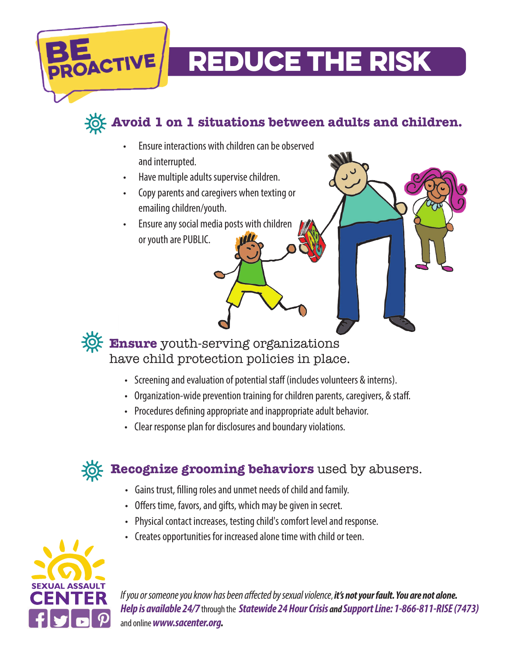REDUCE THE RISK

**Avoid 1 on 1 situations between adults and children.**

- Ensure interactions with children can be observed and interrupted.
- Have multiple adults supervise children.

CTIVE

- Copy parents and caregivers when texting or emailing children/youth.
- Ensure any social media posts with children or youth are PUBLIC.

**Ensure** youth-serving organizations have child protection policies in place.

- Screening and evaluation of potential staff (includes volunteers & interns).
- Organization-wide prevention training for children parents, caregivers, & staff.
- Procedures defining appropriate and inappropriate adult behavior.
- Clear response plan for disclosures and boundary violations.



## **Recognize grooming behaviors** used by abusers.

- Gains trust, filling roles and unmet needs of child and family.
- Offers time, favors, and gifts, which may be given in secret.
- Physical contact increases, testing child's comfort level and response.
- Creates opportunities for increased alone time with child or teen.



If you or someone you know has been affected by sexual violence, **it's not your fault. You are not alone. Help is available 24/7**through the **Statewide 24 Hour Crisis and Support Line: 1-866-811-RISE (7473)** and online **[www.sacenter.org.](https://www.sacenter.org/)**